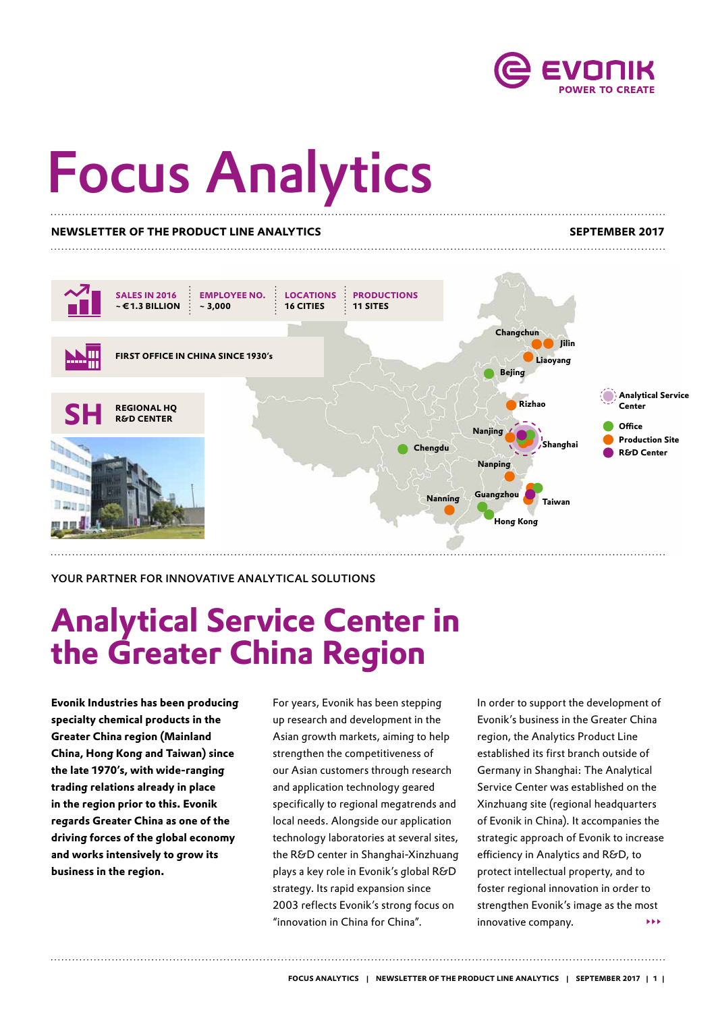

# Focus Analytics

#### **NEWSLETTER OF THE PRODUCT LINE ANALYTICS SEPTEMBER 2017**



YOUR PARTNER FOR INNOVATIVE ANALYTICAL SOLUTIONS

## **Analytical Service Center in the Greater China Region**

**Evonik Industries has been producing specialty chemical products in the Greater China region (Mainland China, Hong Kong and Taiwan) since the late 1970's, with wide-ranging trading relations already in place in the region prior to this. Evonik regards Greater China as one of the driving forces of the global economy and works intensively to grow its business in the region.** 

For years, Evonik has been stepping up research and development in the Asian growth markets, aiming to help strengthen the competitiveness of our Asian customers through research and application technology geared specifically to regional megatrends and local needs. Alongside our application technology laboratories at several sites, the R&D center in Shanghai-Xinzhuang plays a key role in Evonik's global R&D strategy. Its rapid expansion since 2003 reflects Evonik's strong focus on "innovation in China for China".

In order to support the development of Evonik's business in the Greater China region, the Analytics Product Line established its first branch outside of Germany in Shanghai: The Analytical Service Center was established on the Xinzhuang site (regional headquarters of Evonik in China). It accompanies the strategic approach of Evonik to increase efficiency in Analytics and R&D, to protect intellectual property, and to foster regional innovation in order to strengthen Evonik's image as the most innovative company. ▸▸▸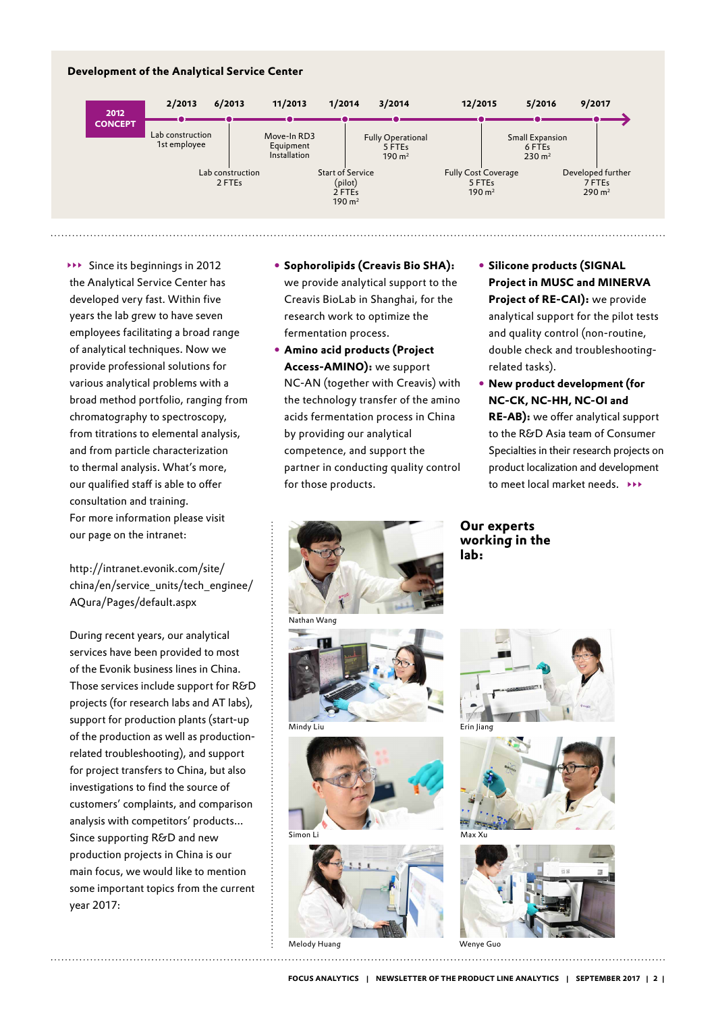### **Development of the Analytical Service Center**



Since its beginnings in 2012 ▸▸▸ the Analytical Service Center has developed very fast. Within five years the lab grew to have seven employees facilitating a broad range of analytical techniques. Now we provide professional solutions for various analytical problems with a broad method portfolio, ranging from chromatography to spectroscopy, from titrations to elemental analysis, and from particle characterization to thermal analysis. What's more, our qualified staff is able to offer consultation and training. For more information please visit our page on the intranet:

[http://intranet.evonik.com/site/](http://intranet.evonik.com/site/china/en/service_units/tech_enginee/AQura/Pages/default.aspx) [china/en/service\\_units/tech\\_enginee/](http://intranet.evonik.com/site/china/en/service_units/tech_enginee/AQura/Pages/default.aspx) [AQura/Pages/default.aspx](http://intranet.evonik.com/site/china/en/service_units/tech_enginee/AQura/Pages/default.aspx)

During recent years, our analytical services have been provided to most of the Evonik business lines in China. Those services include support for R&D projects (for research labs and AT labs), support for production plants (start-up of the production as well as productionrelated troubleshooting), and support for project transfers to China, but also investigations to find the source of customers' complaints, and comparison analysis with competitors' products... Since supporting R&D and new production projects in China is our main focus, we would like to mention some important topics from the current year 2017:

- y **Sophorolipids (Creavis Bio SHA):**  we provide analytical support to the Creavis BioLab in Shanghai, for the research work to optimize the fermentation process.
- y **Amino acid products (Project Access-AMINO):** we support NC-AN (together with Creavis) with the technology transfer of the amino acids fermentation process in China by providing our analytical competence, and support the partner in conducting quality control for those products.
- y **Silicone products (SIGNAL Project in MUSC and MINERVA Project of RE-CAI):** we provide analytical support for the pilot tests and quality control (non-routine, double check and troubleshootingrelated tasks).
- y **New product development (for NC-CK, NC-HH, NC-OI and RE-AB):** we offer analytical support to the R&D Asia team of Consumer Specialties in their research projects on product localization and development to meet local market needs. ▸▸▸



Melody Huang

**Our experts working in the lab:**